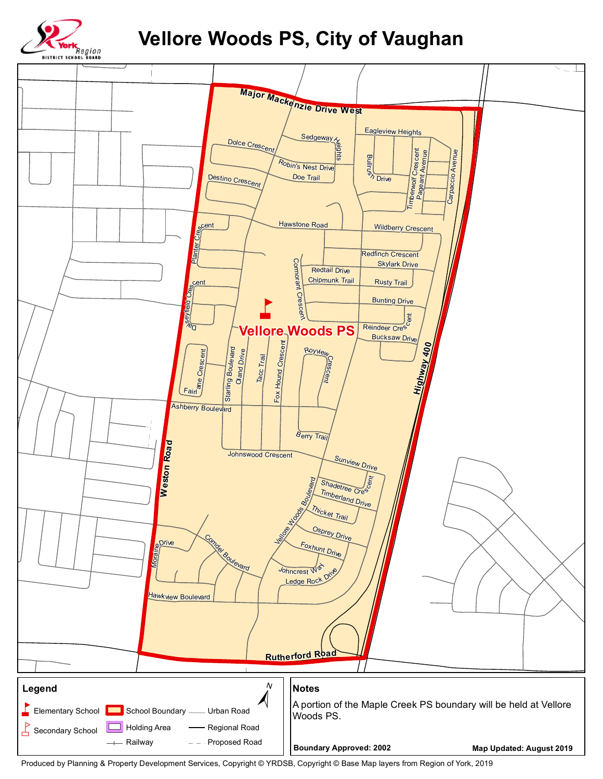

## **Vellore Woods PS, City of Vaughan**



Produced by Planning & Property Development Services, Copyright © YRDSB, Copyright © Base Map layers from Region of York, 2019